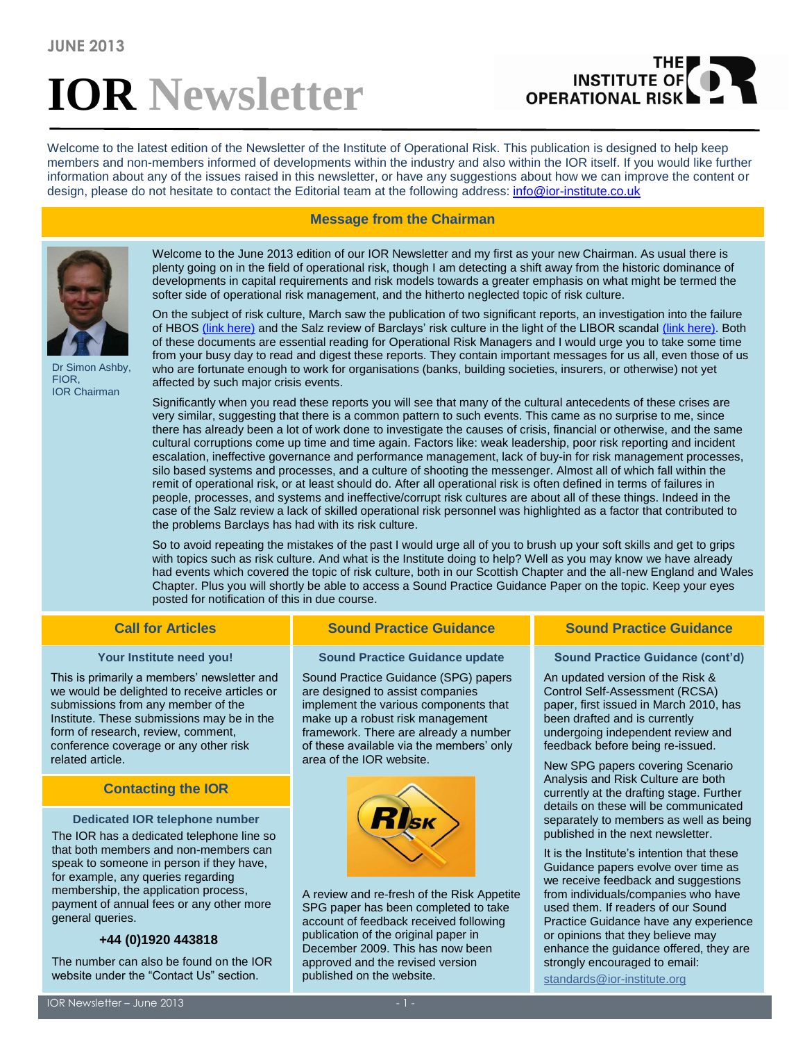# **IOR Newsletter**

## THE **OPERATIONAL RISK**

Welcome to the latest edition of the Newsletter of the Institute of Operational Risk. This publication is designed to help keep members and non-members informed of developments within the industry and also within the IOR itself. If you would like further information about any of the issues raised in this newsletter, or have any suggestions about how we can improve the content or design, please do not hesitate to contact the Editorial team at the following address: [info@ior-institute.co.uk](mailto:info@ior-institute.co.uk)

### **Message from the Chairman**



Dr Simon Ashby, FIOR, IOR Chairman

Welcome to the June 2013 edition of our IOR Newsletter and my first as your new Chairman. As usual there is plenty going on in the field of operational risk, though I am detecting a shift away from the historic dominance of developments in capital requirements and risk models towards a greater emphasis on what might be termed the softer side of operational risk management, and the hitherto neglected topic of risk culture.

On the subject of risk culture, March saw the publication of two significant reports, an investigation into the failure of HBOS [\(link here\)](http://www.publications.parliament.uk/pa/jt201213/jtselect/jtpcbs/144/14402.htm) and the Salz review of Barclays' risk culture in the light of the LIBOR scandal [\(link here\).](http://www.salzreview.co.uk/) Both of these documents are essential reading for Operational Risk Managers and I would urge you to take some time from your busy day to read and digest these reports. They contain important messages for us all, even those of us who are fortunate enough to work for organisations (banks, building societies, insurers, or otherwise) not yet affected by such major crisis events.

Significantly when you read these reports you will see that many of the cultural antecedents of these crises are very similar, suggesting that there is a common pattern to such events. This came as no surprise to me, since there has already been a lot of work done to investigate the causes of crisis, financial or otherwise, and the same cultural corruptions come up time and time again. Factors like: weak leadership, poor risk reporting and incident escalation, ineffective governance and performance management, lack of buy-in for risk management processes, silo based systems and processes, and a culture of shooting the messenger. Almost all of which fall within the remit of operational risk, or at least should do. After all operational risk is often defined in terms of failures in people, processes, and systems and ineffective/corrupt risk cultures are about all of these things. Indeed in the case of the Salz review a lack of skilled operational risk personnel was highlighted as a factor that contributed to the problems Barclays has had with its risk culture.

So to avoid repeating the mistakes of the past I would urge all of you to brush up your soft skills and get to grips with topics such as risk culture. And what is the Institute doing to help? Well as you may know we have already had events which covered the topic of risk culture, both in our Scottish Chapter and the all-new England and Wales Chapter. Plus you will shortly be able to access a Sound Practice Guidance Paper on the topic. Keep your eyes posted for notification of this in due course.

### **Your Institute need you!**

This is primarily a members' newsletter and we would be delighted to receive articles or submissions from any member of the Institute. These submissions may be in the form of research, review, comment, conference coverage or any other risk related article.

### **Contacting the IOR**

### **Dedicated IOR telephone number**

The IOR has a dedicated telephone line so that both members and non-members can speak to someone in person if they have, for example, any queries regarding membership, the application process, payment of annual fees or any other more general queries.

### **+44 (0)1920 443818**

The number can also be found on the IOR website under the "Contact Us" section.

### **Call for Articles Sound Practice Guidance Sound Practice Guidance**

### **Sound Practice Guidance update**

Sound Practice Guidance (SPG) papers are designed to assist companies implement the various components that make up a robust risk management framework. There are already a number of these available via the members' only area of the IOR website.



A review and re-fresh of the Risk Appetite SPG paper has been completed to take account of feedback received following publication of the original paper in December 2009. This has now been approved and the revised version published on the website.

### **Sound Practice Guidance (cont'd)**

An updated version of the Risk & Control Self-Assessment (RCSA) paper, first issued in March 2010, has been drafted and is currently undergoing independent review and feedback before being re-issued.

New SPG papers covering Scenario Analysis and Risk Culture are both currently at the drafting stage. Further details on these will be communicated separately to members as well as being published in the next newsletter.

It is the Institute's intention that these Guidance papers evolve over time as we receive feedback and suggestions from individuals/companies who have used them. If readers of our Sound Practice Guidance have any experience or opinions that they believe may enhance the guidance offered, they are strongly encouraged to email:

[standards@ior-institute.org](mailto:standards@ior-institute.org)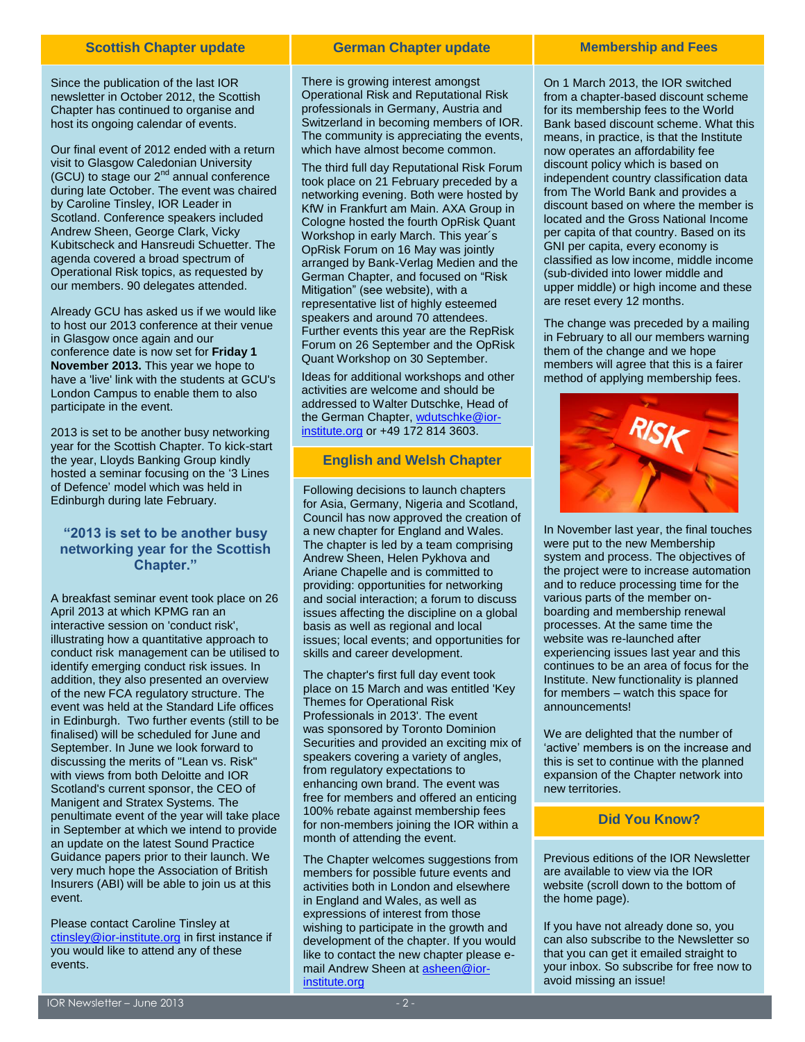### **Scottish Chapter update**

Since the publication of the last IOR newsletter in October 2012, the Scottish Chapter has continued to organise and host its ongoing calendar of events.

Our final event of 2012 ended with a return visit to Glasgow Caledonian University (GCU) to stage our  $2^{nd}$  annual conference during late October. The event was chaired by Caroline Tinsley, IOR Leader in Scotland. Conference speakers included Andrew Sheen, George Clark, Vicky Kubitscheck and Hansreudi Schuetter. The agenda covered a broad spectrum of Operational Risk topics, as requested by our members. 90 delegates attended.

Already GCU has asked us if we would like to host our 2013 conference at their venue in Glasgow once again and our conference date is now set for **Friday 1 November 2013.** This year we hope to have a 'live' link with the students at GCU's London Campus to enable them to also participate in the event.

2013 is set to be another busy networking year for the Scottish Chapter. To kick-start the year, Lloyds Banking Group kindly hosted a seminar focusing on the '3 Lines of Defence' model which was held in Edinburgh during late February.

### **"2013 is set to be another busy networking year for the Scottish Chapter."**

A breakfast seminar event took place on 26 April 2013 at which KPMG ran an interactive session on 'conduct risk', illustrating how a quantitative approach to conduct risk management can be utilised to identify emerging conduct risk issues. In addition, they also presented an overview of the new FCA regulatory structure. The event was held at the Standard Life offices in Edinburgh. Two further events (still to be finalised) will be scheduled for June and September. In June we look forward to discussing the merits of "Lean vs. Risk" with views from both Deloitte and IOR Scotland's current sponsor, the CEO of Manigent and Stratex Systems. The penultimate event of the year will take place in September at which we intend to provide an update on the latest Sound Practice Guidance papers prior to their launch. We very much hope the Association of British Insurers (ABI) will be able to join us at this event.

Please contact Caroline Tinsley at [ctinsley@ior-institute.org](mailto:ctinsley@ior-institute.org) in first instance if you would like to attend any of these events.

### **German Chapter update**

There is growing interest amongst Operational Risk and Reputational Risk professionals in Germany, Austria and Switzerland in becoming members of IOR. The community is appreciating the events, which have almost become common.

The third full day Reputational Risk Forum took place on 21 February preceded by a networking evening. Both were hosted by KfW in Frankfurt am Main. AXA Group in Cologne hosted the fourth OpRisk Quant Workshop in early March. This year´s OpRisk Forum on 16 May was jointly arranged by Bank-Verlag Medien and the German Chapter, and focused on "Risk Mitigation" (see website), with a representative list of highly esteemed speakers and around 70 attendees. Further events this year are the RepRisk Forum on 26 September and the OpRisk Quant Workshop on 30 September.

Ideas for additional workshops and other activities are welcome and should be addressed to Walter Dutschke, Head of the German Chapter[, wdutschke@ior](mailto:wdutschke@ior-institute.org)[institute.org](mailto:wdutschke@ior-institute.org) or +49 172 814 3603.

### **English and Welsh Chapter**

Following decisions to launch chapters for Asia, Germany, Nigeria and Scotland, Council has now approved the creation of a new chapter for England and Wales. The chapter is led by a team comprising Andrew Sheen, Helen Pykhova and Ariane Chapelle and is committed to providing: opportunities for networking and social interaction; a forum to discuss issues affecting the discipline on a global basis as well as regional and local issues; local events; and opportunities for skills and career development.

The chapter's first full day event took place on 15 March and was entitled 'Key Themes for Operational Risk Professionals in 2013'. The event was sponsored by Toronto Dominion Securities and provided an exciting mix of speakers covering a variety of angles, from regulatory expectations to enhancing own brand. The event was free for members and offered an enticing 100% rebate against membership fees for non-members joining the IOR within a month of attending the event.

The Chapter welcomes suggestions from members for possible future events and activities both in London and elsewhere in England and Wales, as well as expressions of interest from those wishing to participate in the growth and development of the chapter. If you would like to contact the new chapter please email Andrew Sheen at [asheen@ior](mailto:asheen@ior-institute.org)[institute.org](mailto:asheen@ior-institute.org)

### **Membership and Fees**

On 1 March 2013, the IOR switched from a chapter-based discount scheme for its membership fees to the World Bank based discount scheme. What this means, in practice, is that the Institute now operates an affordability fee discount policy which is based on independent country classification data from [The World Bank](http://data.worldbank.org/about/country-classifications) and provides a discount based on where the member is located and the Gross National Income per capita of that country. Based on its GNI per capita, every economy is classified as low income, middle income (sub-divided into lower middle and upper middle) or high income and these are reset every 12 months.

The change was preceded by a mailing in February to all our members warning them of the change and we hope members will agree that this is a fairer method of applying membership fees.



In November last year, the final touches were put to the new Membership system and process. The objectives of the project were to increase automation and to reduce processing time for the various parts of the member onboarding and membership renewal processes. At the same time the website was re-launched after experiencing issues last year and this continues to be an area of focus for the Institute. New functionality is planned for members – watch this space for announcements!

We are delighted that the number of 'active' members is on the increase and this is set to continue with the planned expansion of the Chapter network into new territories.

### **Did You Know?**

Previous editions of the IOR Newsletter are available to view via the IOR website (scroll down to the bottom of the home page).

If you have not already done so, you can also subscribe to the Newsletter so that you can get it emailed straight to your inbox. So subscribe for free now to avoid missing an issue!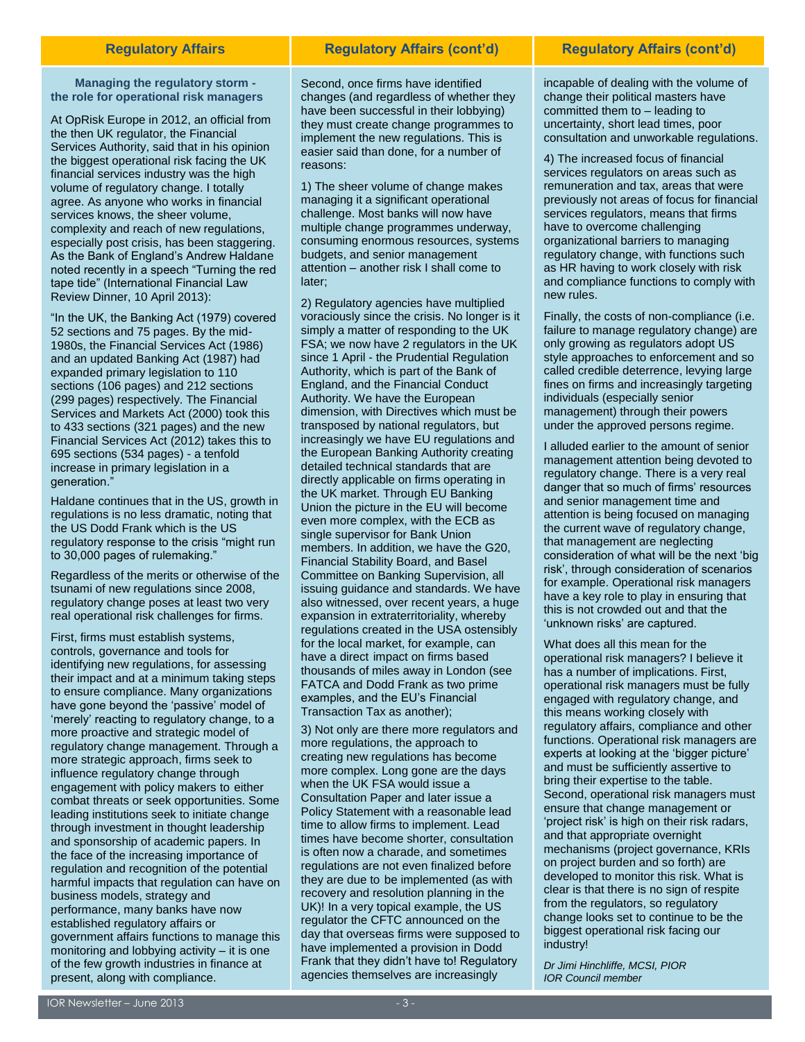**Managing the regulatory storm the role for operational risk managers**

At OpRisk Europe in 2012, an official from the then UK regulator, the Financial Services Authority, said that in his opinion the biggest operational risk facing the UK financial services industry was the high volume of regulatory change. I totally agree. As anyone who works in financial services knows, the sheer volume, complexity and reach of new regulations, especially post crisis, has been staggering. As the Bank of England's Andrew Haldane noted recently in a speech "Turning the red tape tide" (International Financial Law Review Dinner, 10 April 2013):

"In the UK, the Banking Act (1979) covered 52 sections and 75 pages. By the mid-1980s, the Financial Services Act (1986) and an updated Banking Act (1987) had expanded primary legislation to 110 sections (106 pages) and 212 sections (299 pages) respectively. The Financial Services and Markets Act (2000) took this to 433 sections (321 pages) and the new Financial Services Act (2012) takes this to 695 sections (534 pages) - a tenfold increase in primary legislation in a generation."

Haldane continues that in the US, growth in regulations is no less dramatic, noting that the US Dodd Frank which is the US regulatory response to the crisis "might run to 30,000 pages of rulemaking."

Regardless of the merits or otherwise of the tsunami of new regulations since 2008, regulatory change poses at least two very real operational risk challenges for firms.

First, firms must establish systems, controls, governance and tools for identifying new regulations, for assessing their impact and at a minimum taking steps to ensure compliance. Many organizations have gone beyond the 'passive' model of 'merely' reacting to regulatory change, to a more proactive and strategic model of regulatory change management. Through a more strategic approach, firms seek to influence regulatory change through engagement with policy makers to either combat threats or seek opportunities. Some leading institutions seek to initiate change through investment in thought leadership and sponsorship of academic papers. In the face of the increasing importance of regulation and recognition of the potential harmful impacts that regulation can have on business models, strategy and performance, many banks have now established regulatory affairs or government affairs functions to manage this monitoring and lobbying activity – it is one of the few growth industries in finance at present, along with compliance.

Second, once firms have identified changes (and regardless of whether they have been successful in their lobbying) they must create change programmes to implement the new regulations. This is easier said than done, for a number of reasons:

1) The sheer volume of change makes managing it a significant operational challenge. Most banks will now have multiple change programmes underway, consuming enormous resources, systems budgets, and senior management attention – another risk I shall come to later;

2) Regulatory agencies have multiplied voraciously since the crisis. No longer is it simply a matter of responding to the UK FSA; we now have 2 regulators in the UK since 1 April - the Prudential Regulation Authority, which is part of the Bank of England, and the Financial Conduct Authority. We have the European dimension, with Directives which must be transposed by national regulators, but increasingly we have EU regulations and the European Banking Authority creating detailed technical standards that are directly applicable on firms operating in the UK market. Through EU Banking Union the picture in the EU will become even more complex, with the ECB as single supervisor for Bank Union members. In addition, we have the G20, Financial Stability Board, and Basel Committee on Banking Supervision, all issuing guidance and standards. We have also witnessed, over recent years, a huge expansion in extraterritoriality, whereby regulations created in the USA ostensibly for the local market, for example, can have a direct impact on firms based thousands of miles away in London (see FATCA and Dodd Frank as two prime examples, and the EU's Financial Transaction Tax as another);

3) Not only are there more regulators and more regulations, the approach to creating new regulations has become more complex. Long gone are the days when the UK FSA would issue a Consultation Paper and later issue a Policy Statement with a reasonable lead time to allow firms to implement. Lead times have become shorter, consultation is often now a charade, and sometimes regulations are not even finalized before they are due to be implemented (as with recovery and resolution planning in the UK)! In a very topical example, the US regulator the CFTC announced on the day that overseas firms were supposed to have implemented a provision in Dodd Frank that they didn't have to! Regulatory agencies themselves are increasingly

### **Regulatory Affairs Regulatory Affairs (cont'd) Regulatory Affairs (cont'd)**

incapable of dealing with the volume of change their political masters have committed them to – leading to uncertainty, short lead times, poor consultation and unworkable regulations.

4) The increased focus of financial services regulators on areas such as remuneration and tax, areas that were previously not areas of focus for financial services regulators, means that firms have to overcome challenging organizational barriers to managing regulatory change, with functions such as HR having to work closely with risk and compliance functions to comply with new rules.

Finally, the costs of non-compliance (i.e. failure to manage regulatory change) are only growing as regulators adopt US style approaches to enforcement and so called credible deterrence, levying large fines on firms and increasingly targeting individuals (especially senior management) through their powers under the approved persons regime.

I alluded earlier to the amount of senior management attention being devoted to regulatory change. There is a very real danger that so much of firms' resources and senior management time and attention is being focused on managing the current wave of regulatory change, that management are neglecting consideration of what will be the next 'big risk', through consideration of scenarios for example. Operational risk managers have a key role to play in ensuring that this is not crowded out and that the 'unknown risks' are captured.

What does all this mean for the operational risk managers? I believe it has a number of implications. First, operational risk managers must be fully engaged with regulatory change, and this means working closely with regulatory affairs, compliance and other functions. Operational risk managers are experts at looking at the 'bigger picture' and must be sufficiently assertive to bring their expertise to the table. Second, operational risk managers must ensure that change management or 'project risk' is high on their risk radars, and that appropriate overnight mechanisms (project governance, KRIs on project burden and so forth) are developed to monitor this risk. What is clear is that there is no sign of respite from the regulators, so regulatory change looks set to continue to be the biggest operational risk facing our industry!

*Dr Jimi Hinchliffe, MCSI, PIOR IOR Council member*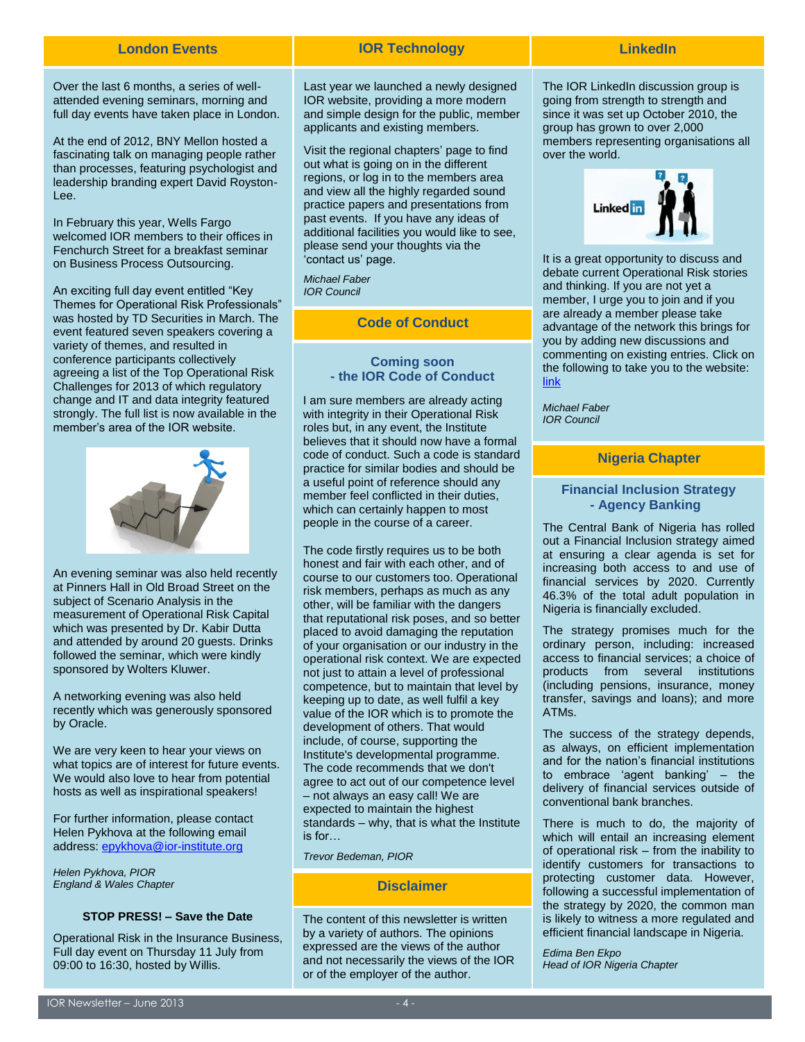Over the last 6 months, a series of wellattended evening seminars, morning and full day events have taken place in London.

At the end of 2012, BNY Mellon hosted a fascinating talk on managing people rather than processes, featuring psychologist and leadership branding expert David Royston-Lee.

In February this year, Wells Fargo welcomed IOR members to their offices in Fenchurch Street for a breakfast seminar on Business Process Outsourcing.

An exciting full day event entitled "Key Themes for Operational Risk Professionals" was hosted by TD Securities in March. The event featured seven speakers covering a variety of themes, and resulted in conference participants collectively agreeing a list of the Top Operational Risk Challenges for 2013 of which regulatory change and IT and data integrity featured strongly. The full list is now available in the member's area of the IOR website.



An evening seminar was also held recently at Pinners Hall in Old Broad Street on the subject of Scenario Analysis in the measurement of Operational Risk Capital which was presented by Dr. Kabir Dutta and attended by around 20 guests. Drinks followed the seminar, which were kindly sponsored by Wolters Kluwer.

A networking evening was also held recently which was generously sponsored by Oracle.

We are very keen to hear your views on what topics are of interest for future events. We would also love to hear from potential hosts as well as inspirational speakers!

For further information, please contact Helen Pykhova at the following email address[: epykhova@ior-institute.org](mailto:epykhova@ior-institute.org)

*Helen Pykhova, PIOR England & Wales Chapter*

### **STOP PRESS! – Save the Date**

Operational Risk in the Insurance Business, Full day event on Thursday 11 July from 09:00 to 16:30, hosted by Willis.

### **London Events IOR Technology LinkedIn**

Last year we launched a newly designed IOR website, providing a more modern and simple design for the public, member applicants and existing members.

Visit the regional chapters' page to find out what is going on in the different regions, or log in to the members area and view all the highly regarded sound practice papers and presentations from past events. If you have any ideas of additional facilities you would like to see, please send your thoughts via the 'contact us' page.

*Michael Faber IOR Council*

**Code of Conduct**

### **Coming soon - the IOR Code of Conduct**

I am sure members are already acting with integrity in their Operational Risk roles but, in any event, the Institute believes that it should now have a formal code of conduct. Such a code is standard practice for similar bodies and should be a useful point of reference should any member feel conflicted in their duties, which can certainly happen to most people in the course of a career.

The code firstly requires us to be both honest and fair with each other, and of course to our customers too. Operational risk members, perhaps as much as any other, will be familiar with the dangers that reputational risk poses, and so better placed to avoid damaging the reputation of your organisation or our industry in the operational risk context. We are expected not just to attain a level of professional competence, but to maintain that level by keeping up to date, as well fulfil a key value of the IOR which is to promote the development of others. That would include, of course, supporting the Institute's developmental programme. The code recommends that we don't agree to act out of our competence level – not always an easy call! We are expected to maintain the highest standards – why, that is what the Institute is for…

*Trevor Bedeman, PIOR*

### **Disclaimer**

The content of this newsletter is written by a variety of authors. The opinions expressed are the views of the author and not necessarily the views of the IOR or of the employer of the author.

The IOR LinkedIn discussion group is going from strength to strength and since it was set up October 2010, the group has grown to over 2,000 members representing organisations all over the world.



It is a great opportunity to discuss and debate current Operational Risk stories and thinking. If you are not yet a member, I urge you to join and if you are already a member please take advantage of the network this brings for you by adding new discussions and commenting on existing entries. Click on the following to take you to the website: [link](http://www.linkedin.com/groups?gid=3511716&mostPopular=&trk=tyah)

*Michael Faber IOR Council*

### **Nigeria Chapter**

### **Financial Inclusion Strategy - Agency Banking**

The Central Bank of Nigeria has rolled out a Financial Inclusion strategy aimed at ensuring a clear agenda is set for increasing both access to and use of financial services by 2020. Currently 46.3% of the total adult population in Nigeria is financially excluded.

The strategy promises much for the ordinary person, including: increased access to financial services; a choice of products from several institutions (including pensions, insurance, money transfer, savings and loans); and more ATMs.

The success of the strategy depends, as always, on efficient implementation and for the nation's financial institutions to embrace 'agent banking' – the delivery of financial services outside of conventional bank branches.

There is much to do, the majority of which will entail an increasing element of operational risk – from the inability to identify customers for transactions to protecting customer data. However, following a successful implementation of the strategy by 2020, the common man is likely to witness a more regulated and efficient financial landscape in Nigeria.

*Edima Ben Ekpo Head of IOR Nigeria Chapter*